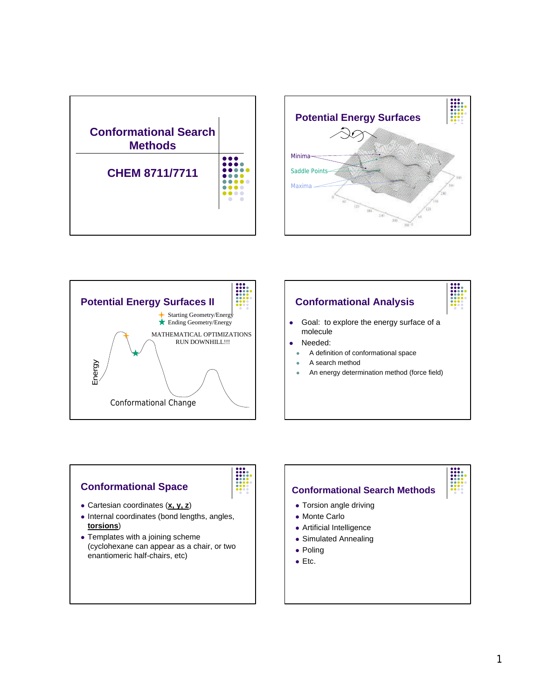









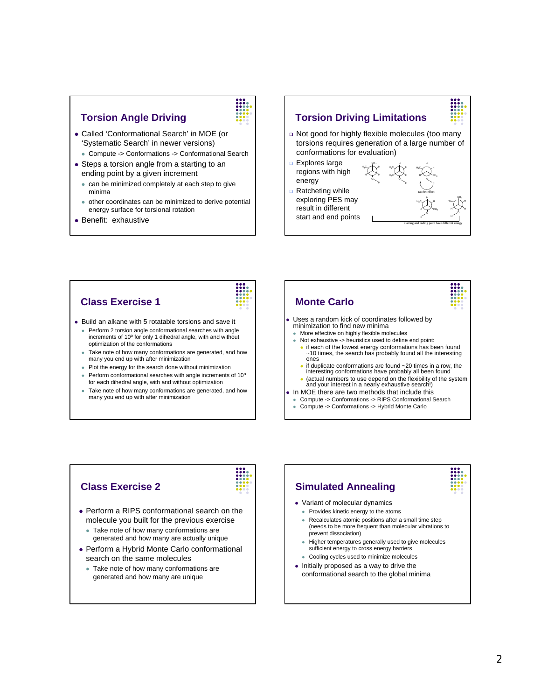## **Torsion Angle Driving**

- Called 'Conformational Search' in MOE (or 'Systematic Search' in newer versions)
	- Compute -> Conformations -> Conformational Search
- Steps a torsion angle from a starting to an ending point by a given increment
	- $\bullet$  can be minimized completely at each step to give minima
	- other coordinates can be minimized to derive potential energy surface for torsional rotation
- Benefit: exhaustive

## **Torsion Driving Limitations** □ Not good for highly flexible molecules (too many torsions requires generation of a large number of conformations for evaluation) ๚๛ๅ๛ H çн, H H O H3CV TVH H3C H H H H3CV TVH H H CH<sub>3</sub> H ratchet effect **Q** Explores large regions with high energy **Q** Ratcheting while

exploring PES may result in different start and end points H3C√TVH H CH<sup>3</sup> H

O нс∕⊤∿н H H CH<sub>3</sub> H H

starting and ending point have different energy

- **Class Exercise 1**
- Build an alkane with 5 rotatable torsions and save it
	- Perform 2 torsion angle conformational searches with angle increments of 10º for only 1 dihedral angle, with and without optimization of the conformations
	- Take note of how many conformations are generated, and how many you end up with after minimization
	- Plot the energy for the search done without minimization
	- Perform conformational searches with angle increments of 10° for each dihedral angle, with and without optimization
	- Take note of how many conformations are generated, and how many you end up with after minimization



| d |
|---|
|   |
|   |
|   |
|   |
|   |
|   |
|   |

## **Class Exercise 2**

- Perform a RIPS conformational search on the molecule you built for the previous exercise
	- Take note of how many conformations are generated and how many are actually unique
- Perform a Hybrid Monte Carlo conformational search on the same molecules
	- Take note of how many conformations are generated and how many are unique